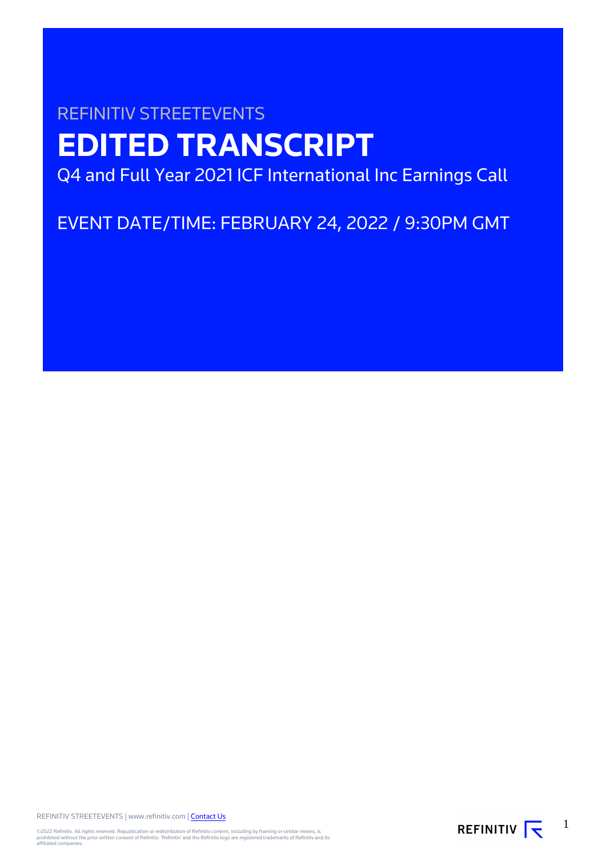# REFINITIV STREETEVENTS **EDITED TRANSCRIPT**

Q4 and Full Year 2021 ICF International Inc Earnings Call

EVENT DATE/TIME: FEBRUARY 24, 2022 / 9:30PM GMT

REFINITIV STREETEVENTS | www.refinitiv.com | [Contact Us](https://www.refinitiv.com/en/contact-us)

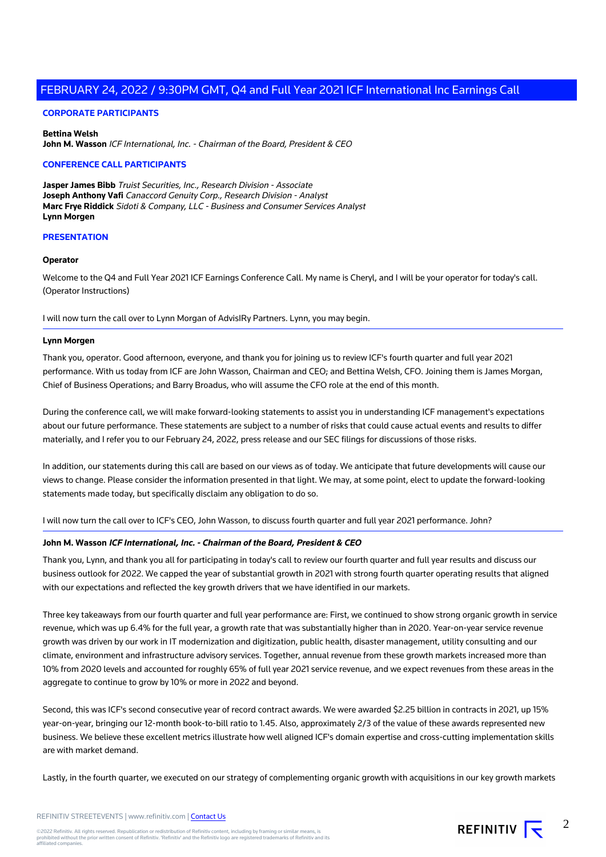## **CORPORATE PARTICIPANTS**

**Bettina Welsh John M. Wasson** ICF International, Inc. - Chairman of the Board, President & CEO

## **CONFERENCE CALL PARTICIPANTS**

**Jasper James Bibb** Truist Securities, Inc., Research Division - Associate **Joseph Anthony Vafi** Canaccord Genuity Corp., Research Division - Analyst **Marc Frye Riddick** Sidoti & Company, LLC - Business and Consumer Services Analyst **Lynn Morgen**

#### **PRESENTATION**

## **Operator**

Welcome to the Q4 and Full Year 2021 ICF Earnings Conference Call. My name is Cheryl, and I will be your operator for today's call. (Operator Instructions)

I will now turn the call over to Lynn Morgan of AdvisIRy Partners. Lynn, you may begin.

#### **Lynn Morgen**

Thank you, operator. Good afternoon, everyone, and thank you for joining us to review ICF's fourth quarter and full year 2021 performance. With us today from ICF are John Wasson, Chairman and CEO; and Bettina Welsh, CFO. Joining them is James Morgan, Chief of Business Operations; and Barry Broadus, who will assume the CFO role at the end of this month.

During the conference call, we will make forward-looking statements to assist you in understanding ICF management's expectations about our future performance. These statements are subject to a number of risks that could cause actual events and results to differ materially, and I refer you to our February 24, 2022, press release and our SEC filings for discussions of those risks.

In addition, our statements during this call are based on our views as of today. We anticipate that future developments will cause our views to change. Please consider the information presented in that light. We may, at some point, elect to update the forward-looking statements made today, but specifically disclaim any obligation to do so.

I will now turn the call over to ICF's CEO, John Wasson, to discuss fourth quarter and full year 2021 performance. John?

## **John M. Wasson ICF International, Inc. - Chairman of the Board, President & CEO**

Thank you, Lynn, and thank you all for participating in today's call to review our fourth quarter and full year results and discuss our business outlook for 2022. We capped the year of substantial growth in 2021 with strong fourth quarter operating results that aligned with our expectations and reflected the key growth drivers that we have identified in our markets.

Three key takeaways from our fourth quarter and full year performance are: First, we continued to show strong organic growth in service revenue, which was up 6.4% for the full year, a growth rate that was substantially higher than in 2020. Year-on-year service revenue growth was driven by our work in IT modernization and digitization, public health, disaster management, utility consulting and our climate, environment and infrastructure advisory services. Together, annual revenue from these growth markets increased more than 10% from 2020 levels and accounted for roughly 65% of full year 2021 service revenue, and we expect revenues from these areas in the aggregate to continue to grow by 10% or more in 2022 and beyond.

Second, this was ICF's second consecutive year of record contract awards. We were awarded \$2.25 billion in contracts in 2021, up 15% year-on-year, bringing our 12-month book-to-bill ratio to 1.45. Also, approximately 2/3 of the value of these awards represented new business. We believe these excellent metrics illustrate how well aligned ICF's domain expertise and cross-cutting implementation skills are with market demand.

Lastly, in the fourth quarter, we executed on our strategy of complementing organic growth with acquisitions in our key growth markets

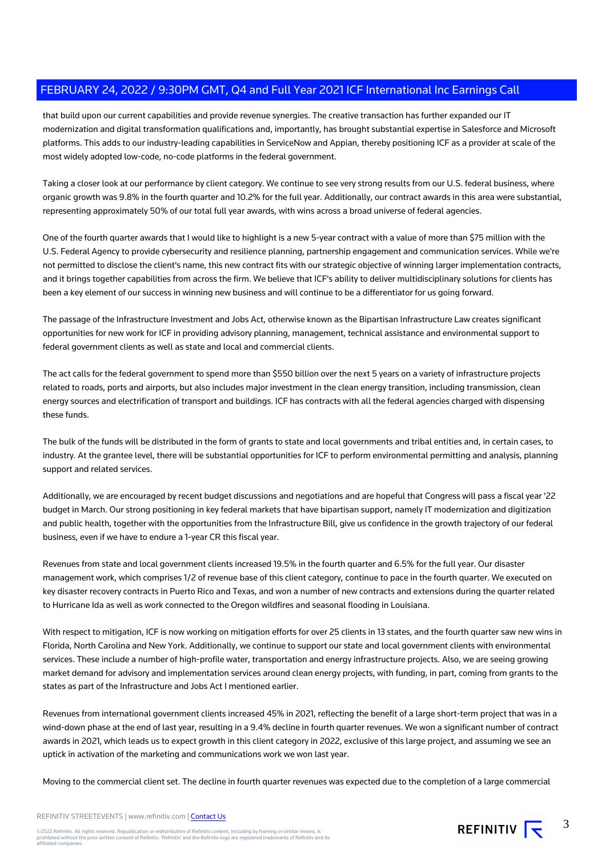that build upon our current capabilities and provide revenue synergies. The creative transaction has further expanded our IT modernization and digital transformation qualifications and, importantly, has brought substantial expertise in Salesforce and Microsoft platforms. This adds to our industry-leading capabilities in ServiceNow and Appian, thereby positioning ICF as a provider at scale of the most widely adopted low-code, no-code platforms in the federal government.

Taking a closer look at our performance by client category. We continue to see very strong results from our U.S. federal business, where organic growth was 9.8% in the fourth quarter and 10.2% for the full year. Additionally, our contract awards in this area were substantial, representing approximately 50% of our total full year awards, with wins across a broad universe of federal agencies.

One of the fourth quarter awards that I would like to highlight is a new 5-year contract with a value of more than \$75 million with the U.S. Federal Agency to provide cybersecurity and resilience planning, partnership engagement and communication services. While we're not permitted to disclose the client's name, this new contract fits with our strategic objective of winning larger implementation contracts, and it brings together capabilities from across the firm. We believe that ICF's ability to deliver multidisciplinary solutions for clients has been a key element of our success in winning new business and will continue to be a differentiator for us going forward.

The passage of the Infrastructure Investment and Jobs Act, otherwise known as the Bipartisan Infrastructure Law creates significant opportunities for new work for ICF in providing advisory planning, management, technical assistance and environmental support to federal government clients as well as state and local and commercial clients.

The act calls for the federal government to spend more than \$550 billion over the next 5 years on a variety of infrastructure projects related to roads, ports and airports, but also includes major investment in the clean energy transition, including transmission, clean energy sources and electrification of transport and buildings. ICF has contracts with all the federal agencies charged with dispensing these funds.

The bulk of the funds will be distributed in the form of grants to state and local governments and tribal entities and, in certain cases, to industry. At the grantee level, there will be substantial opportunities for ICF to perform environmental permitting and analysis, planning support and related services.

Additionally, we are encouraged by recent budget discussions and negotiations and are hopeful that Congress will pass a fiscal year '22 budget in March. Our strong positioning in key federal markets that have bipartisan support, namely IT modernization and digitization and public health, together with the opportunities from the Infrastructure Bill, give us confidence in the growth trajectory of our federal business, even if we have to endure a 1-year CR this fiscal year.

Revenues from state and local government clients increased 19.5% in the fourth quarter and 6.5% for the full year. Our disaster management work, which comprises 1/2 of revenue base of this client category, continue to pace in the fourth quarter. We executed on key disaster recovery contracts in Puerto Rico and Texas, and won a number of new contracts and extensions during the quarter related to Hurricane Ida as well as work connected to the Oregon wildfires and seasonal flooding in Louisiana.

With respect to mitigation, ICF is now working on mitigation efforts for over 25 clients in 13 states, and the fourth quarter saw new wins in Florida, North Carolina and New York. Additionally, we continue to support our state and local government clients with environmental services. These include a number of high-profile water, transportation and energy infrastructure projects. Also, we are seeing growing market demand for advisory and implementation services around clean energy projects, with funding, in part, coming from grants to the states as part of the Infrastructure and Jobs Act I mentioned earlier.

Revenues from international government clients increased 45% in 2021, reflecting the benefit of a large short-term project that was in a wind-down phase at the end of last year, resulting in a 9.4% decline in fourth quarter revenues. We won a significant number of contract awards in 2021, which leads us to expect growth in this client category in 2022, exclusive of this large project, and assuming we see an uptick in activation of the marketing and communications work we won last year.

Moving to the commercial client set. The decline in fourth quarter revenues was expected due to the completion of a large commercial

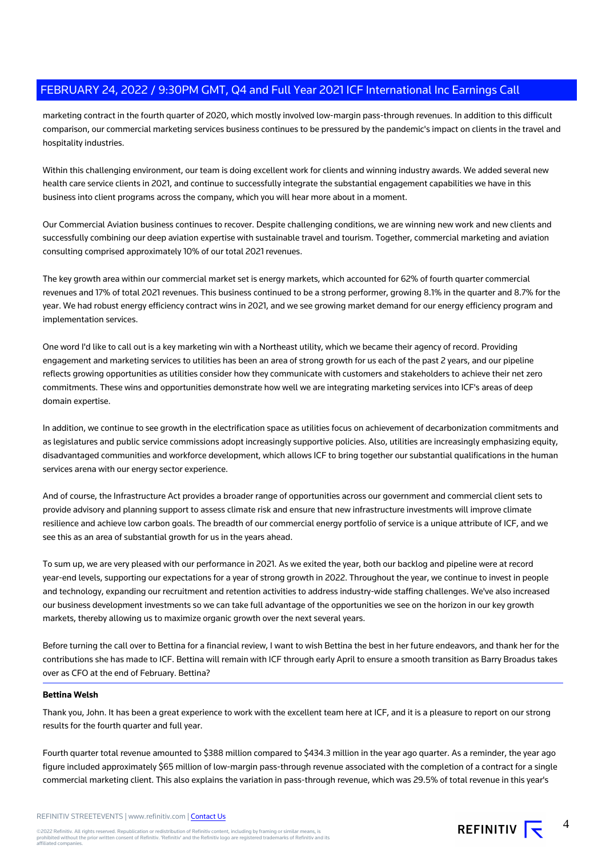marketing contract in the fourth quarter of 2020, which mostly involved low-margin pass-through revenues. In addition to this difficult comparison, our commercial marketing services business continues to be pressured by the pandemic's impact on clients in the travel and hospitality industries.

Within this challenging environment, our team is doing excellent work for clients and winning industry awards. We added several new health care service clients in 2021, and continue to successfully integrate the substantial engagement capabilities we have in this business into client programs across the company, which you will hear more about in a moment.

Our Commercial Aviation business continues to recover. Despite challenging conditions, we are winning new work and new clients and successfully combining our deep aviation expertise with sustainable travel and tourism. Together, commercial marketing and aviation consulting comprised approximately 10% of our total 2021 revenues.

The key growth area within our commercial market set is energy markets, which accounted for 62% of fourth quarter commercial revenues and 17% of total 2021 revenues. This business continued to be a strong performer, growing 8.1% in the quarter and 8.7% for the year. We had robust energy efficiency contract wins in 2021, and we see growing market demand for our energy efficiency program and implementation services.

One word I'd like to call out is a key marketing win with a Northeast utility, which we became their agency of record. Providing engagement and marketing services to utilities has been an area of strong growth for us each of the past 2 years, and our pipeline reflects growing opportunities as utilities consider how they communicate with customers and stakeholders to achieve their net zero commitments. These wins and opportunities demonstrate how well we are integrating marketing services into ICF's areas of deep domain expertise.

In addition, we continue to see growth in the electrification space as utilities focus on achievement of decarbonization commitments and as legislatures and public service commissions adopt increasingly supportive policies. Also, utilities are increasingly emphasizing equity, disadvantaged communities and workforce development, which allows ICF to bring together our substantial qualifications in the human services arena with our energy sector experience.

And of course, the Infrastructure Act provides a broader range of opportunities across our government and commercial client sets to provide advisory and planning support to assess climate risk and ensure that new infrastructure investments will improve climate resilience and achieve low carbon goals. The breadth of our commercial energy portfolio of service is a unique attribute of ICF, and we see this as an area of substantial growth for us in the years ahead.

To sum up, we are very pleased with our performance in 2021. As we exited the year, both our backlog and pipeline were at record year-end levels, supporting our expectations for a year of strong growth in 2022. Throughout the year, we continue to invest in people and technology, expanding our recruitment and retention activities to address industry-wide staffing challenges. We've also increased our business development investments so we can take full advantage of the opportunities we see on the horizon in our key growth markets, thereby allowing us to maximize organic growth over the next several years.

Before turning the call over to Bettina for a financial review, I want to wish Bettina the best in her future endeavors, and thank her for the contributions she has made to ICF. Bettina will remain with ICF through early April to ensure a smooth transition as Barry Broadus takes over as CFO at the end of February. Bettina?

## **Bettina Welsh**

Thank you, John. It has been a great experience to work with the excellent team here at ICF, and it is a pleasure to report on our strong results for the fourth quarter and full year.

Fourth quarter total revenue amounted to \$388 million compared to \$434.3 million in the year ago quarter. As a reminder, the year ago figure included approximately \$65 million of low-margin pass-through revenue associated with the completion of a contract for a single commercial marketing client. This also explains the variation in pass-through revenue, which was 29.5% of total revenue in this year's

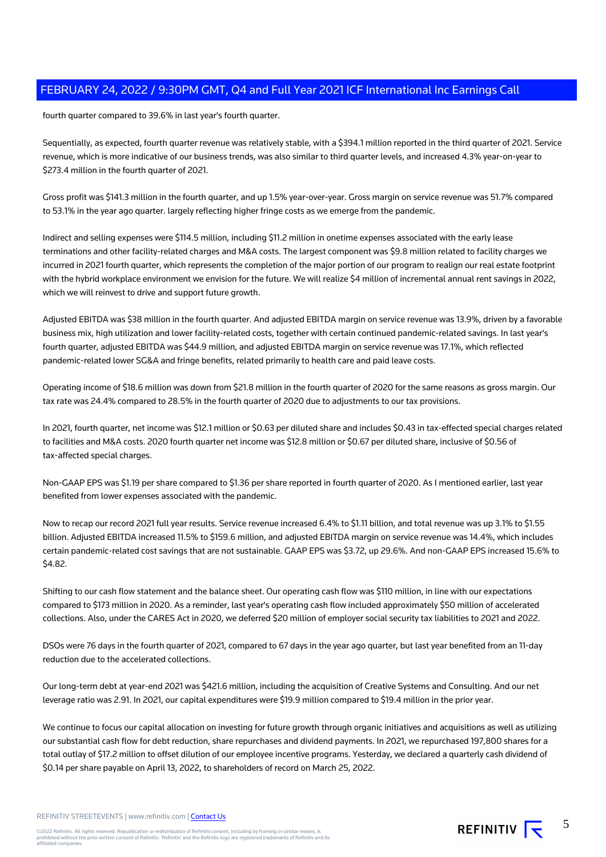fourth quarter compared to 39.6% in last year's fourth quarter.

Sequentially, as expected, fourth quarter revenue was relatively stable, with a \$394.1 million reported in the third quarter of 2021. Service revenue, which is more indicative of our business trends, was also similar to third quarter levels, and increased 4.3% year-on-year to \$273.4 million in the fourth quarter of 2021.

Gross profit was \$141.3 million in the fourth quarter, and up 1.5% year-over-year. Gross margin on service revenue was 51.7% compared to 53.1% in the year ago quarter. largely reflecting higher fringe costs as we emerge from the pandemic.

Indirect and selling expenses were \$114.5 million, including \$11.2 million in onetime expenses associated with the early lease terminations and other facility-related charges and M&A costs. The largest component was \$9.8 million related to facility charges we incurred in 2021 fourth quarter, which represents the completion of the major portion of our program to realign our real estate footprint with the hybrid workplace environment we envision for the future. We will realize \$4 million of incremental annual rent savings in 2022, which we will reinvest to drive and support future growth.

Adjusted EBITDA was \$38 million in the fourth quarter. And adjusted EBITDA margin on service revenue was 13.9%, driven by a favorable business mix, high utilization and lower facility-related costs, together with certain continued pandemic-related savings. In last year's fourth quarter, adjusted EBITDA was \$44.9 million, and adjusted EBITDA margin on service revenue was 17.1%, which reflected pandemic-related lower SG&A and fringe benefits, related primarily to health care and paid leave costs.

Operating income of \$18.6 million was down from \$21.8 million in the fourth quarter of 2020 for the same reasons as gross margin. Our tax rate was 24.4% compared to 28.5% in the fourth quarter of 2020 due to adjustments to our tax provisions.

In 2021, fourth quarter, net income was \$12.1 million or \$0.63 per diluted share and includes \$0.43 in tax-effected special charges related to facilities and M&A costs. 2020 fourth quarter net income was \$12.8 million or \$0.67 per diluted share, inclusive of \$0.56 of tax-affected special charges.

Non-GAAP EPS was \$1.19 per share compared to \$1.36 per share reported in fourth quarter of 2020. As I mentioned earlier, last year benefited from lower expenses associated with the pandemic.

Now to recap our record 2021 full year results. Service revenue increased 6.4% to \$1.11 billion, and total revenue was up 3.1% to \$1.55 billion. Adjusted EBITDA increased 11.5% to \$159.6 million, and adjusted EBITDA margin on service revenue was 14.4%, which includes certain pandemic-related cost savings that are not sustainable. GAAP EPS was \$3.72, up 29.6%. And non-GAAP EPS increased 15.6% to \$4.82.

Shifting to our cash flow statement and the balance sheet. Our operating cash flow was \$110 million, in line with our expectations compared to \$173 million in 2020. As a reminder, last year's operating cash flow included approximately \$50 million of accelerated collections. Also, under the CARES Act in 2020, we deferred \$20 million of employer social security tax liabilities to 2021 and 2022.

DSOs were 76 days in the fourth quarter of 2021, compared to 67 days in the year ago quarter, but last year benefited from an 11-day reduction due to the accelerated collections.

Our long-term debt at year-end 2021 was \$421.6 million, including the acquisition of Creative Systems and Consulting. And our net leverage ratio was 2.91. In 2021, our capital expenditures were \$19.9 million compared to \$19.4 million in the prior year.

We continue to focus our capital allocation on investing for future growth through organic initiatives and acquisitions as well as utilizing our substantial cash flow for debt reduction, share repurchases and dividend payments. In 2021, we repurchased 197,800 shares for a total outlay of \$17.2 million to offset dilution of our employee incentive programs. Yesterday, we declared a quarterly cash dividend of \$0.14 per share payable on April 13, 2022, to shareholders of record on March 25, 2022.

REFINITIV STREETEVENTS | www.refinitiv.com | [Contact Us](https://www.refinitiv.com/en/contact-us)

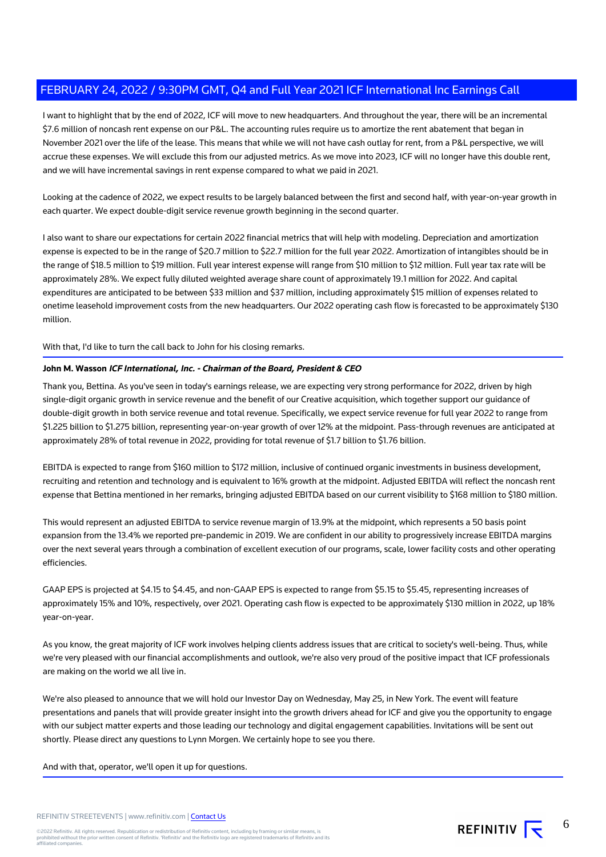I want to highlight that by the end of 2022, ICF will move to new headquarters. And throughout the year, there will be an incremental \$7.6 million of noncash rent expense on our P&L. The accounting rules require us to amortize the rent abatement that began in November 2021 over the life of the lease. This means that while we will not have cash outlay for rent, from a P&L perspective, we will accrue these expenses. We will exclude this from our adjusted metrics. As we move into 2023, ICF will no longer have this double rent, and we will have incremental savings in rent expense compared to what we paid in 2021.

Looking at the cadence of 2022, we expect results to be largely balanced between the first and second half, with year-on-year growth in each quarter. We expect double-digit service revenue growth beginning in the second quarter.

I also want to share our expectations for certain 2022 financial metrics that will help with modeling. Depreciation and amortization expense is expected to be in the range of \$20.7 million to \$22.7 million for the full year 2022. Amortization of intangibles should be in the range of \$18.5 million to \$19 million. Full year interest expense will range from \$10 million to \$12 million. Full year tax rate will be approximately 28%. We expect fully diluted weighted average share count of approximately 19.1 million for 2022. And capital expenditures are anticipated to be between \$33 million and \$37 million, including approximately \$15 million of expenses related to onetime leasehold improvement costs from the new headquarters. Our 2022 operating cash flow is forecasted to be approximately \$130 million.

With that, I'd like to turn the call back to John for his closing remarks.

## **John M. Wasson ICF International, Inc. - Chairman of the Board, President & CEO**

Thank you, Bettina. As you've seen in today's earnings release, we are expecting very strong performance for 2022, driven by high single-digit organic growth in service revenue and the benefit of our Creative acquisition, which together support our guidance of double-digit growth in both service revenue and total revenue. Specifically, we expect service revenue for full year 2022 to range from \$1.225 billion to \$1.275 billion, representing year-on-year growth of over 12% at the midpoint. Pass-through revenues are anticipated at approximately 28% of total revenue in 2022, providing for total revenue of \$1.7 billion to \$1.76 billion.

EBITDA is expected to range from \$160 million to \$172 million, inclusive of continued organic investments in business development, recruiting and retention and technology and is equivalent to 16% growth at the midpoint. Adjusted EBITDA will reflect the noncash rent expense that Bettina mentioned in her remarks, bringing adjusted EBITDA based on our current visibility to \$168 million to \$180 million.

This would represent an adjusted EBITDA to service revenue margin of 13.9% at the midpoint, which represents a 50 basis point expansion from the 13.4% we reported pre-pandemic in 2019. We are confident in our ability to progressively increase EBITDA margins over the next several years through a combination of excellent execution of our programs, scale, lower facility costs and other operating efficiencies.

GAAP EPS is projected at \$4.15 to \$4.45, and non-GAAP EPS is expected to range from \$5.15 to \$5.45, representing increases of approximately 15% and 10%, respectively, over 2021. Operating cash flow is expected to be approximately \$130 million in 2022, up 18% year-on-year.

As you know, the great majority of ICF work involves helping clients address issues that are critical to society's well-being. Thus, while we're very pleased with our financial accomplishments and outlook, we're also very proud of the positive impact that ICF professionals are making on the world we all live in.

We're also pleased to announce that we will hold our Investor Day on Wednesday, May 25, in New York. The event will feature presentations and panels that will provide greater insight into the growth drivers ahead for ICF and give you the opportunity to engage with our subject matter experts and those leading our technology and digital engagement capabilities. Invitations will be sent out shortly. Please direct any questions to Lynn Morgen. We certainly hope to see you there.

And with that, operator, we'll open it up for questions.

## REFINITIV STREETEVENTS | www.refinitiv.com | [Contact Us](https://www.refinitiv.com/en/contact-us)

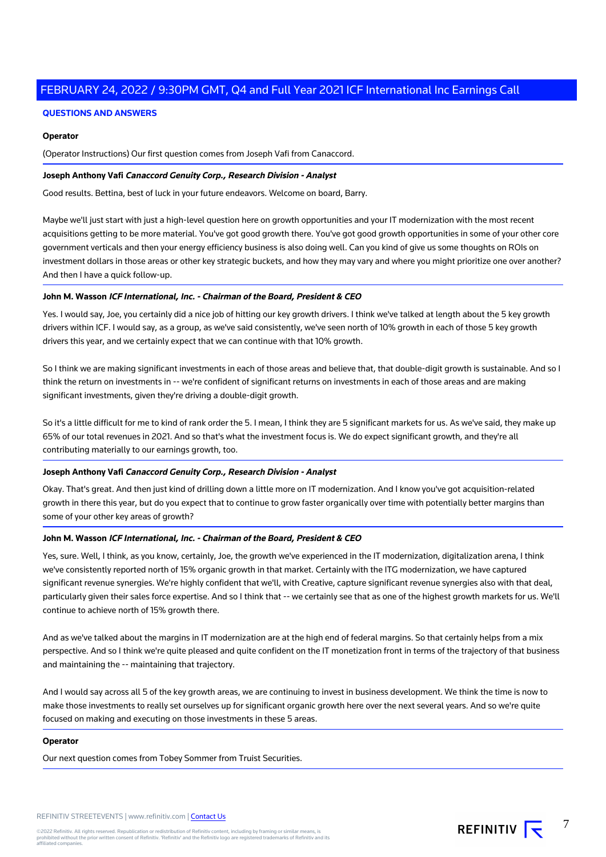## **QUESTIONS AND ANSWERS**

## **Operator**

(Operator Instructions) Our first question comes from Joseph Vafi from Canaccord.

## **Joseph Anthony Vafi Canaccord Genuity Corp., Research Division - Analyst**

Good results. Bettina, best of luck in your future endeavors. Welcome on board, Barry.

Maybe we'll just start with just a high-level question here on growth opportunities and your IT modernization with the most recent acquisitions getting to be more material. You've got good growth there. You've got good growth opportunities in some of your other core government verticals and then your energy efficiency business is also doing well. Can you kind of give us some thoughts on ROIs on investment dollars in those areas or other key strategic buckets, and how they may vary and where you might prioritize one over another? And then I have a quick follow-up.

## **John M. Wasson ICF International, Inc. - Chairman of the Board, President & CEO**

Yes. I would say, Joe, you certainly did a nice job of hitting our key growth drivers. I think we've talked at length about the 5 key growth drivers within ICF. I would say, as a group, as we've said consistently, we've seen north of 10% growth in each of those 5 key growth drivers this year, and we certainly expect that we can continue with that 10% growth.

So I think we are making significant investments in each of those areas and believe that, that double-digit growth is sustainable. And so I think the return on investments in -- we're confident of significant returns on investments in each of those areas and are making significant investments, given they're driving a double-digit growth.

So it's a little difficult for me to kind of rank order the 5. I mean, I think they are 5 significant markets for us. As we've said, they make up 65% of our total revenues in 2021. And so that's what the investment focus is. We do expect significant growth, and they're all contributing materially to our earnings growth, too.

## **Joseph Anthony Vafi Canaccord Genuity Corp., Research Division - Analyst**

Okay. That's great. And then just kind of drilling down a little more on IT modernization. And I know you've got acquisition-related growth in there this year, but do you expect that to continue to grow faster organically over time with potentially better margins than some of your other key areas of growth?

## **John M. Wasson ICF International, Inc. - Chairman of the Board, President & CEO**

Yes, sure. Well, I think, as you know, certainly, Joe, the growth we've experienced in the IT modernization, digitalization arena, I think we've consistently reported north of 15% organic growth in that market. Certainly with the ITG modernization, we have captured significant revenue synergies. We're highly confident that we'll, with Creative, capture significant revenue synergies also with that deal, particularly given their sales force expertise. And so I think that -- we certainly see that as one of the highest growth markets for us. We'll continue to achieve north of 15% growth there.

And as we've talked about the margins in IT modernization are at the high end of federal margins. So that certainly helps from a mix perspective. And so I think we're quite pleased and quite confident on the IT monetization front in terms of the trajectory of that business and maintaining the -- maintaining that trajectory.

And I would say across all 5 of the key growth areas, we are continuing to invest in business development. We think the time is now to make those investments to really set ourselves up for significant organic growth here over the next several years. And so we're quite focused on making and executing on those investments in these 5 areas.

## **Operator**

Our next question comes from Tobey Sommer from Truist Securities.

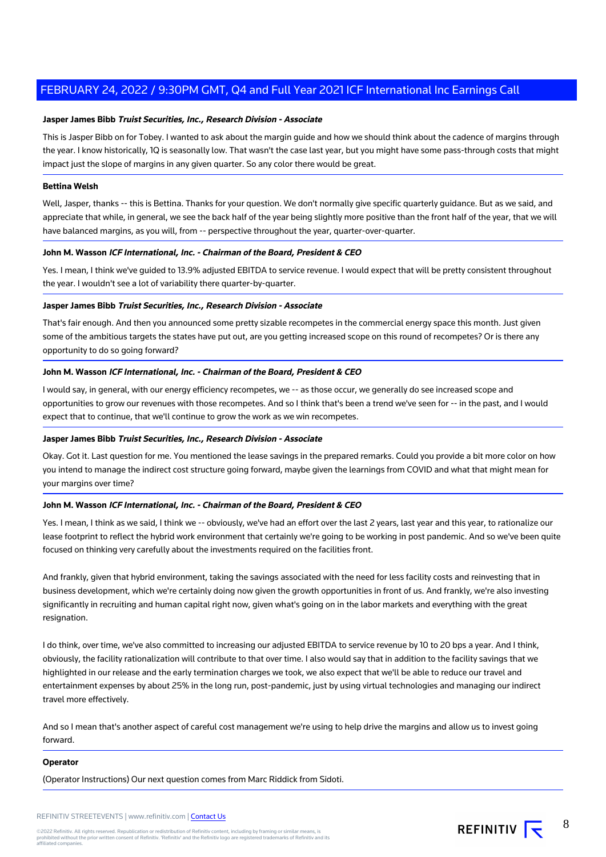## **Jasper James Bibb Truist Securities, Inc., Research Division - Associate**

This is Jasper Bibb on for Tobey. I wanted to ask about the margin guide and how we should think about the cadence of margins through the year. I know historically, 1Q is seasonally low. That wasn't the case last year, but you might have some pass-through costs that might impact just the slope of margins in any given quarter. So any color there would be great.

## **Bettina Welsh**

Well, Jasper, thanks -- this is Bettina. Thanks for your question. We don't normally give specific quarterly guidance. But as we said, and appreciate that while, in general, we see the back half of the year being slightly more positive than the front half of the year, that we will have balanced margins, as you will, from -- perspective throughout the year, quarter-over-quarter.

## **John M. Wasson ICF International, Inc. - Chairman of the Board, President & CEO**

Yes. I mean, I think we've guided to 13.9% adjusted EBITDA to service revenue. I would expect that will be pretty consistent throughout the year. I wouldn't see a lot of variability there quarter-by-quarter.

## **Jasper James Bibb Truist Securities, Inc., Research Division - Associate**

That's fair enough. And then you announced some pretty sizable recompetes in the commercial energy space this month. Just given some of the ambitious targets the states have put out, are you getting increased scope on this round of recompetes? Or is there any opportunity to do so going forward?

## **John M. Wasson ICF International, Inc. - Chairman of the Board, President & CEO**

I would say, in general, with our energy efficiency recompetes, we -- as those occur, we generally do see increased scope and opportunities to grow our revenues with those recompetes. And so I think that's been a trend we've seen for -- in the past, and I would expect that to continue, that we'll continue to grow the work as we win recompetes.

## **Jasper James Bibb Truist Securities, Inc., Research Division - Associate**

Okay. Got it. Last question for me. You mentioned the lease savings in the prepared remarks. Could you provide a bit more color on how you intend to manage the indirect cost structure going forward, maybe given the learnings from COVID and what that might mean for your margins over time?

## **John M. Wasson ICF International, Inc. - Chairman of the Board, President & CEO**

Yes. I mean, I think as we said, I think we -- obviously, we've had an effort over the last 2 years, last year and this year, to rationalize our lease footprint to reflect the hybrid work environment that certainly we're going to be working in post pandemic. And so we've been quite focused on thinking very carefully about the investments required on the facilities front.

And frankly, given that hybrid environment, taking the savings associated with the need for less facility costs and reinvesting that in business development, which we're certainly doing now given the growth opportunities in front of us. And frankly, we're also investing significantly in recruiting and human capital right now, given what's going on in the labor markets and everything with the great resignation.

I do think, over time, we've also committed to increasing our adjusted EBITDA to service revenue by 10 to 20 bps a year. And I think, obviously, the facility rationalization will contribute to that over time. I also would say that in addition to the facility savings that we highlighted in our release and the early termination charges we took, we also expect that we'll be able to reduce our travel and entertainment expenses by about 25% in the long run, post-pandemic, just by using virtual technologies and managing our indirect travel more effectively.

And so I mean that's another aspect of careful cost management we're using to help drive the margins and allow us to invest going forward.

## **Operator**

(Operator Instructions) Our next question comes from Marc Riddick from Sidoti.

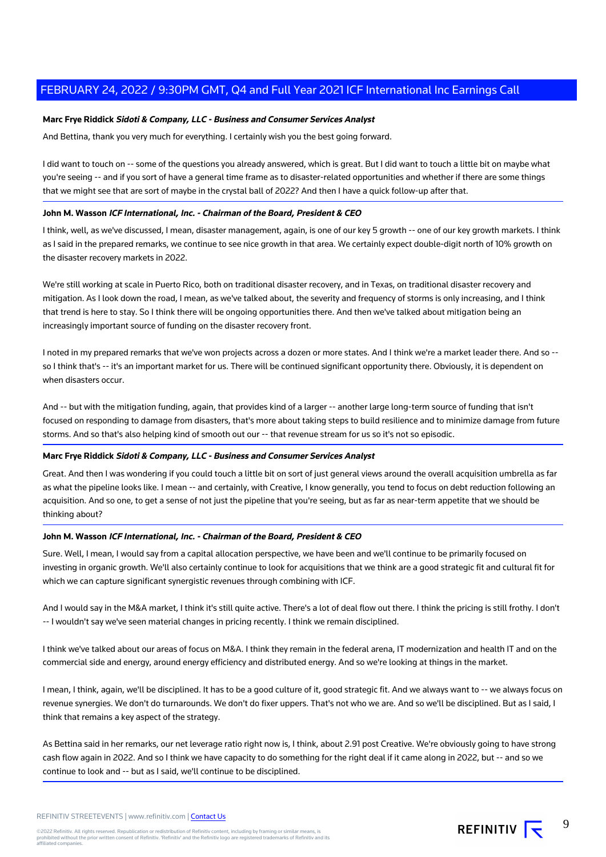## **Marc Frye Riddick Sidoti & Company, LLC - Business and Consumer Services Analyst**

And Bettina, thank you very much for everything. I certainly wish you the best going forward.

I did want to touch on -- some of the questions you already answered, which is great. But I did want to touch a little bit on maybe what you're seeing -- and if you sort of have a general time frame as to disaster-related opportunities and whether if there are some things that we might see that are sort of maybe in the crystal ball of 2022? And then I have a quick follow-up after that.

## **John M. Wasson ICF International, Inc. - Chairman of the Board, President & CEO**

I think, well, as we've discussed, I mean, disaster management, again, is one of our key 5 growth -- one of our key growth markets. I think as I said in the prepared remarks, we continue to see nice growth in that area. We certainly expect double-digit north of 10% growth on the disaster recovery markets in 2022.

We're still working at scale in Puerto Rico, both on traditional disaster recovery, and in Texas, on traditional disaster recovery and mitigation. As I look down the road, I mean, as we've talked about, the severity and frequency of storms is only increasing, and I think that trend is here to stay. So I think there will be ongoing opportunities there. And then we've talked about mitigation being an increasingly important source of funding on the disaster recovery front.

I noted in my prepared remarks that we've won projects across a dozen or more states. And I think we're a market leader there. And so -so I think that's -- it's an important market for us. There will be continued significant opportunity there. Obviously, it is dependent on when disasters occur.

And -- but with the mitigation funding, again, that provides kind of a larger -- another large long-term source of funding that isn't focused on responding to damage from disasters, that's more about taking steps to build resilience and to minimize damage from future storms. And so that's also helping kind of smooth out our -- that revenue stream for us so it's not so episodic.

#### **Marc Frye Riddick Sidoti & Company, LLC - Business and Consumer Services Analyst**

Great. And then I was wondering if you could touch a little bit on sort of just general views around the overall acquisition umbrella as far as what the pipeline looks like. I mean -- and certainly, with Creative, I know generally, you tend to focus on debt reduction following an acquisition. And so one, to get a sense of not just the pipeline that you're seeing, but as far as near-term appetite that we should be thinking about?

#### **John M. Wasson ICF International, Inc. - Chairman of the Board, President & CEO**

Sure. Well, I mean, I would say from a capital allocation perspective, we have been and we'll continue to be primarily focused on investing in organic growth. We'll also certainly continue to look for acquisitions that we think are a good strategic fit and cultural fit for which we can capture significant synergistic revenues through combining with ICF.

And I would say in the M&A market, I think it's still quite active. There's a lot of deal flow out there. I think the pricing is still frothy. I don't -- I wouldn't say we've seen material changes in pricing recently. I think we remain disciplined.

I think we've talked about our areas of focus on M&A. I think they remain in the federal arena, IT modernization and health IT and on the commercial side and energy, around energy efficiency and distributed energy. And so we're looking at things in the market.

I mean, I think, again, we'll be disciplined. It has to be a good culture of it, good strategic fit. And we always want to -- we always focus on revenue synergies. We don't do turnarounds. We don't do fixer uppers. That's not who we are. And so we'll be disciplined. But as I said, I think that remains a key aspect of the strategy.

As Bettina said in her remarks, our net leverage ratio right now is, I think, about 2.91 post Creative. We're obviously going to have strong cash flow again in 2022. And so I think we have capacity to do something for the right deal if it came along in 2022, but -- and so we continue to look and -- but as I said, we'll continue to be disciplined.